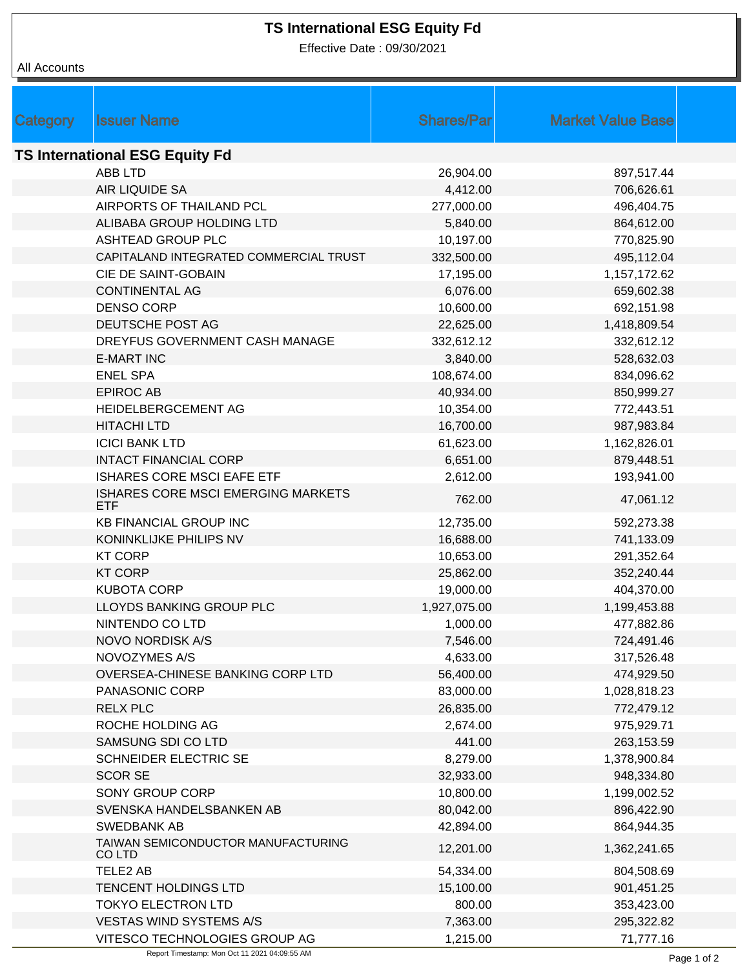## **TS International ESG Equity Fd**

Effective Date : 09/30/2021

All Accounts

| Category                              | <b>Issuer Name</b>                               | <b>Shares/Parl</b> | <b>Market Value Base</b> |  |  |  |  |
|---------------------------------------|--------------------------------------------------|--------------------|--------------------------|--|--|--|--|
| <b>TS International ESG Equity Fd</b> |                                                  |                    |                          |  |  |  |  |
|                                       | <b>ABB LTD</b>                                   | 26,904.00          | 897,517.44               |  |  |  |  |
|                                       | AIR LIQUIDE SA                                   | 4,412.00           | 706,626.61               |  |  |  |  |
|                                       | AIRPORTS OF THAILAND PCL                         | 277,000.00         | 496,404.75               |  |  |  |  |
|                                       | ALIBABA GROUP HOLDING LTD                        | 5,840.00           | 864,612.00               |  |  |  |  |
|                                       | ASHTEAD GROUP PLC                                | 10,197.00          | 770,825.90               |  |  |  |  |
|                                       | CAPITALAND INTEGRATED COMMERCIAL TRUST           | 332,500.00         | 495,112.04               |  |  |  |  |
|                                       | CIE DE SAINT-GOBAIN                              | 17,195.00          | 1,157,172.62             |  |  |  |  |
|                                       | <b>CONTINENTAL AG</b>                            | 6,076.00           | 659,602.38               |  |  |  |  |
|                                       | <b>DENSO CORP</b>                                | 10,600.00          | 692,151.98               |  |  |  |  |
|                                       | DEUTSCHE POST AG                                 | 22,625.00          | 1,418,809.54             |  |  |  |  |
|                                       | DREYFUS GOVERNMENT CASH MANAGE                   | 332,612.12         | 332,612.12               |  |  |  |  |
|                                       | <b>E-MART INC</b>                                | 3,840.00           | 528,632.03               |  |  |  |  |
|                                       | <b>ENEL SPA</b>                                  | 108,674.00         | 834,096.62               |  |  |  |  |
|                                       | <b>EPIROC AB</b>                                 | 40,934.00          | 850,999.27               |  |  |  |  |
|                                       | HEIDELBERGCEMENT AG                              | 10,354.00          | 772,443.51               |  |  |  |  |
|                                       | <b>HITACHI LTD</b>                               | 16,700.00          | 987,983.84               |  |  |  |  |
|                                       | <b>ICICI BANK LTD</b>                            | 61,623.00          | 1,162,826.01             |  |  |  |  |
|                                       | <b>INTACT FINANCIAL CORP</b>                     | 6,651.00           | 879,448.51               |  |  |  |  |
|                                       | ISHARES CORE MSCI EAFE ETF                       | 2,612.00           | 193,941.00               |  |  |  |  |
|                                       | ISHARES CORE MSCI EMERGING MARKETS<br><b>ETF</b> | 762.00             | 47,061.12                |  |  |  |  |
|                                       | <b>KB FINANCIAL GROUP INC</b>                    | 12,735.00          | 592,273.38               |  |  |  |  |
|                                       | KONINKLIJKE PHILIPS NV                           | 16,688.00          | 741,133.09               |  |  |  |  |
|                                       | <b>KT CORP</b>                                   | 10,653.00          | 291,352.64               |  |  |  |  |
|                                       | <b>KT CORP</b>                                   | 25,862.00          | 352,240.44               |  |  |  |  |
|                                       | <b>KUBOTA CORP</b>                               | 19,000.00          | 404,370.00               |  |  |  |  |
|                                       | LLOYDS BANKING GROUP PLC                         | 1,927,075.00       | 1,199,453.88             |  |  |  |  |
|                                       | NINTENDO CO LTD                                  | 1,000.00           | 477,882.86               |  |  |  |  |
|                                       | NOVO NORDISK A/S                                 | 7,546.00           | 724,491.46               |  |  |  |  |
|                                       | NOVOZYMES A/S                                    | 4,633.00           | 317,526.48               |  |  |  |  |
|                                       | OVERSEA-CHINESE BANKING CORP LTD                 | 56,400.00          | 474,929.50               |  |  |  |  |
|                                       | PANASONIC CORP                                   | 83,000.00          | 1,028,818.23             |  |  |  |  |
|                                       | <b>RELX PLC</b>                                  | 26,835.00          | 772,479.12               |  |  |  |  |
|                                       | ROCHE HOLDING AG                                 | 2,674.00           | 975,929.71               |  |  |  |  |
|                                       | SAMSUNG SDI CO LTD                               | 441.00             | 263,153.59               |  |  |  |  |
|                                       | <b>SCHNEIDER ELECTRIC SE</b>                     | 8,279.00           | 1,378,900.84             |  |  |  |  |
|                                       | <b>SCOR SE</b>                                   | 32,933.00          | 948,334.80               |  |  |  |  |
|                                       | SONY GROUP CORP                                  | 10,800.00          | 1,199,002.52             |  |  |  |  |
|                                       | SVENSKA HANDELSBANKEN AB                         | 80,042.00          | 896,422.90               |  |  |  |  |
|                                       | <b>SWEDBANK AB</b>                               | 42,894.00          | 864,944.35               |  |  |  |  |
|                                       | TAIWAN SEMICONDUCTOR MANUFACTURING<br>CO LTD     | 12,201.00          | 1,362,241.65             |  |  |  |  |
|                                       | TELE2 AB                                         | 54,334.00          | 804,508.69               |  |  |  |  |
|                                       | <b>TENCENT HOLDINGS LTD</b>                      | 15,100.00          | 901,451.25               |  |  |  |  |
|                                       | <b>TOKYO ELECTRON LTD</b>                        | 800.00             | 353,423.00               |  |  |  |  |
|                                       | <b>VESTAS WIND SYSTEMS A/S</b>                   | 7,363.00           | 295,322.82               |  |  |  |  |
|                                       | VITESCO TECHNOLOGIES GROUP AG                    | 1,215.00           | 71,777.16                |  |  |  |  |